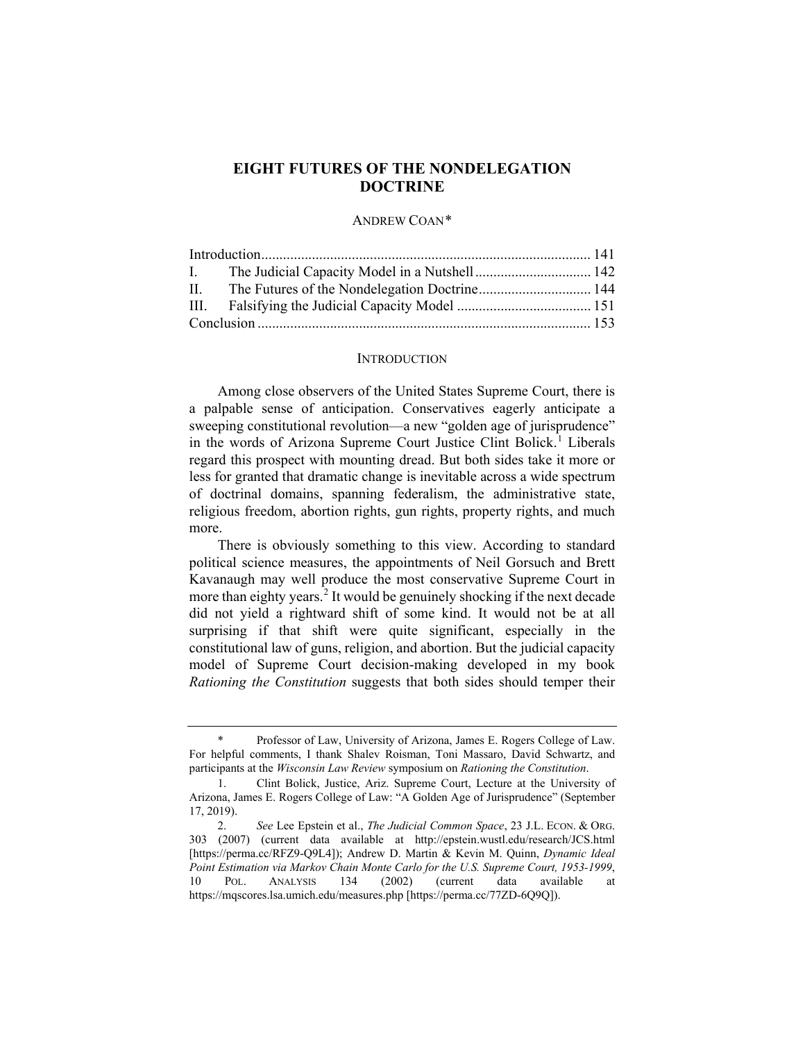# **EIGHT FUTURES OF THE NONDELEGATION DOCTRINE**

### ANDREW COAN[\\*](#page-0-0)

### **INTRODUCTION**

Among close observers of the United States Supreme Court, there is a palpable sense of anticipation. Conservatives eagerly anticipate a sweeping constitutional revolution—a new "golden age of jurisprudence" in the words of Arizona Supreme Court Justice Clint Bolick.<sup>[1](#page-0-1)</sup> Liberals regard this prospect with mounting dread. But both sides take it more or less for granted that dramatic change is inevitable across a wide spectrum of doctrinal domains, spanning federalism, the administrative state, religious freedom, abortion rights, gun rights, property rights, and much more.

There is obviously something to this view. According to standard political science measures, the appointments of Neil Gorsuch and Brett Kavanaugh may well produce the most conservative Supreme Court in more than eighty years.<sup>[2](#page-0-2)</sup> It would be genuinely shocking if the next decade did not yield a rightward shift of some kind. It would not be at all surprising if that shift were quite significant, especially in the constitutional law of guns, religion, and abortion. But the judicial capacity model of Supreme Court decision-making developed in my book *Rationing the Constitution* suggests that both sides should temper their

<span id="page-0-0"></span>Professor of Law, University of Arizona, James E. Rogers College of Law. For helpful comments, I thank Shalev Roisman, Toni Massaro, David Schwartz, and participants at the *Wisconsin Law Review* symposium on *Rationing the Constitution*.

<span id="page-0-1"></span><sup>1.</sup> Clint Bolick, Justice, Ariz. Supreme Court, Lecture at the University of Arizona, James E. Rogers College of Law: "A Golden Age of Jurisprudence" (September 17, 2019).

<span id="page-0-2"></span><sup>2.</sup> *See* Lee Epstein et al., *The Judicial Common Space*, 23 J.L. ECON. & ORG. 303 (2007) (current data available at http://epstein.wustl.edu/research/JCS.html [https://perma.cc/RFZ9-Q9L4]); Andrew D. Martin & Kevin M. Quinn, *Dynamic Ideal Point Estimation via Markov Chain Monte Carlo for the U.S. Supreme Court, 1953-1999*, 10 POL. ANALYSIS 134 (2002) (current data available at https://mqscores.lsa.umich.edu/measures.php [https://perma.cc/77ZD-6Q9Q]).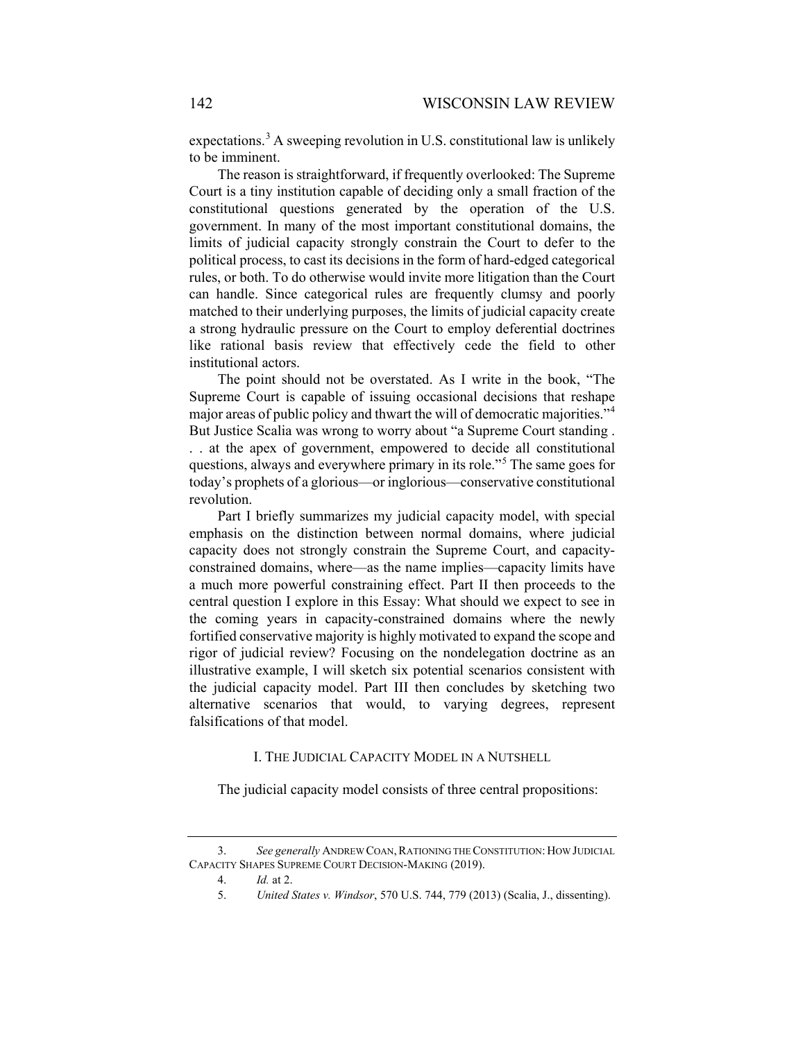<span id="page-1-3"></span>expectations.<sup>[3](#page-1-0)</sup> A sweeping revolution in U.S. constitutional law is unlikely to be imminent.

The reason is straightforward, if frequently overlooked: The Supreme Court is a tiny institution capable of deciding only a small fraction of the constitutional questions generated by the operation of the U.S. government. In many of the most important constitutional domains, the limits of judicial capacity strongly constrain the Court to defer to the political process, to cast its decisions in the form of hard-edged categorical rules, or both. To do otherwise would invite more litigation than the Court can handle. Since categorical rules are frequently clumsy and poorly matched to their underlying purposes, the limits of judicial capacity create a strong hydraulic pressure on the Court to employ deferential doctrines like rational basis review that effectively cede the field to other institutional actors.

The point should not be overstated. As I write in the book, "The Supreme Court is capable of issuing occasional decisions that reshape major areas of public policy and thwart the will of democratic majorities."<sup>[4](#page-1-1)</sup> But Justice Scalia was wrong to worry about "a Supreme Court standing . . . at the apex of government, empowered to decide all constitutional questions, always and everywhere primary in its role."[5](#page-1-2) The same goes for today's prophets of a glorious—or inglorious—conservative constitutional

revolution. Part I briefly summarizes my judicial capacity model, with special

emphasis on the distinction between normal domains, where judicial capacity does not strongly constrain the Supreme Court, and capacityconstrained domains, where—as the name implies—capacity limits have a much more powerful constraining effect. Part II then proceeds to the central question I explore in this Essay: What should we expect to see in the coming years in capacity-constrained domains where the newly fortified conservative majority is highly motivated to expand the scope and rigor of judicial review? Focusing on the nondelegation doctrine as an illustrative example, I will sketch six potential scenarios consistent with the judicial capacity model. Part III then concludes by sketching two alternative scenarios that would, to varying degrees, represent falsifications of that model.

### I. THE JUDICIAL CAPACITY MODEL IN A NUTSHELL

The judicial capacity model consists of three central propositions:

<span id="page-1-2"></span><span id="page-1-1"></span><span id="page-1-0"></span><sup>3.</sup> *See generally* ANDREW COAN,RATIONING THE CONSTITUTION: HOW JUDICIAL CAPACITY SHAPES SUPREME COURT DECISION-MAKING (2019).

<sup>4.</sup> *Id.* at 2.

<sup>5.</sup> *United States v. Windsor*, 570 U.S. 744, 779 (2013) (Scalia, J., dissenting).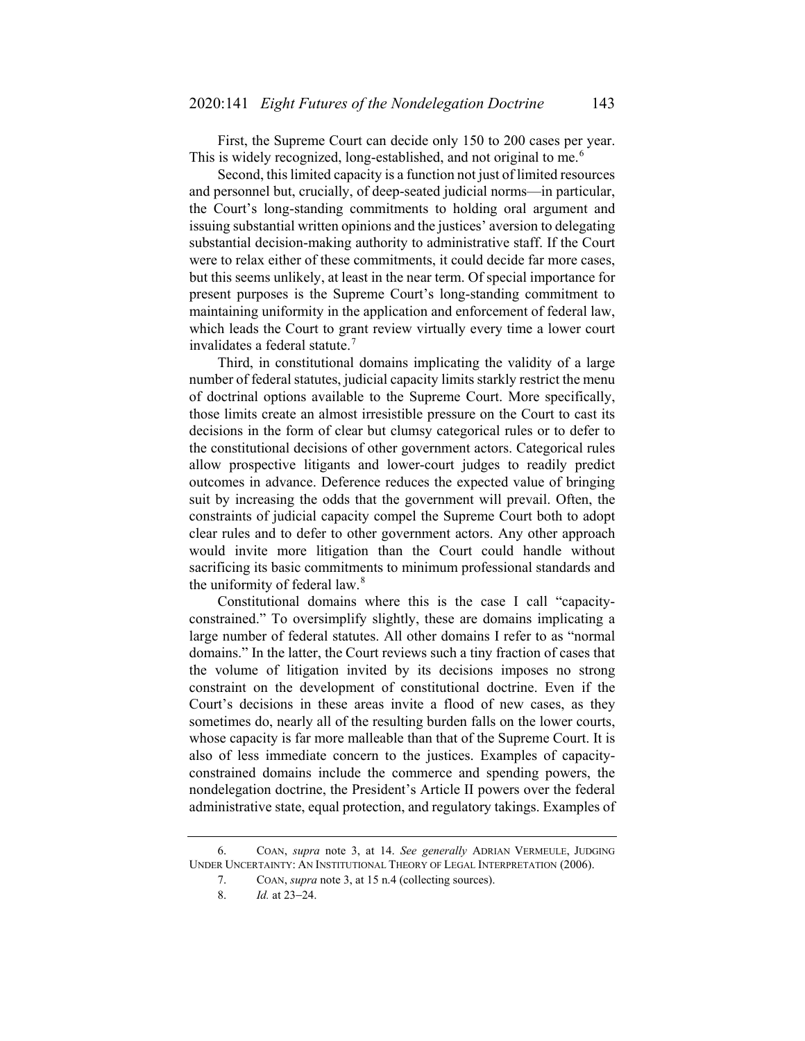First, the Supreme Court can decide only 150 to 200 cases per year. This is widely recognized, long-established, and not original to me.<sup>[6](#page-2-0)</sup>

Second, this limited capacity is a function not just of limited resources and personnel but, crucially, of deep-seated judicial norms—in particular, the Court's long-standing commitments to holding oral argument and issuing substantial written opinions and the justices' aversion to delegating substantial decision-making authority to administrative staff. If the Court were to relax either of these commitments, it could decide far more cases, but this seems unlikely, at least in the near term. Of special importance for present purposes is the Supreme Court's long-standing commitment to maintaining uniformity in the application and enforcement of federal law, which leads the Court to grant review virtually every time a lower court invalidates a federal statute.<sup>[7](#page-2-1)</sup>

Third, in constitutional domains implicating the validity of a large number of federal statutes, judicial capacity limits starkly restrict the menu of doctrinal options available to the Supreme Court. More specifically, those limits create an almost irresistible pressure on the Court to cast its decisions in the form of clear but clumsy categorical rules or to defer to the constitutional decisions of other government actors. Categorical rules allow prospective litigants and lower-court judges to readily predict outcomes in advance. Deference reduces the expected value of bringing suit by increasing the odds that the government will prevail. Often, the constraints of judicial capacity compel the Supreme Court both to adopt clear rules and to defer to other government actors. Any other approach would invite more litigation than the Court could handle without sacrificing its basic commitments to minimum professional standards and the uniformity of federal law.<sup>[8](#page-2-2)</sup>

Constitutional domains where this is the case I call "capacityconstrained." To oversimplify slightly, these are domains implicating a large number of federal statutes. All other domains I refer to as "normal domains." In the latter, the Court reviews such a tiny fraction of cases that the volume of litigation invited by its decisions imposes no strong constraint on the development of constitutional doctrine. Even if the Court's decisions in these areas invite a flood of new cases, as they sometimes do, nearly all of the resulting burden falls on the lower courts, whose capacity is far more malleable than that of the Supreme Court. It is also of less immediate concern to the justices. Examples of capacityconstrained domains include the commerce and spending powers, the nondelegation doctrine, the President's Article II powers over the federal administrative state, equal protection, and regulatory takings. Examples of

<span id="page-2-2"></span><span id="page-2-1"></span><span id="page-2-0"></span><sup>6.</sup> COAN, *supra* note [3,](#page-1-3) at 14. *See generally* ADRIAN VERMEULE, JUDGING UNDER UNCERTAINTY: AN INSTITUTIONAL THEORY OF LEGAL INTERPRETATION (2006).

<sup>7.</sup> COAN, *supra* not[e 3,](#page-1-3) at 15 n.4 (collecting sources).

<sup>8.</sup> *Id.* at 23−24.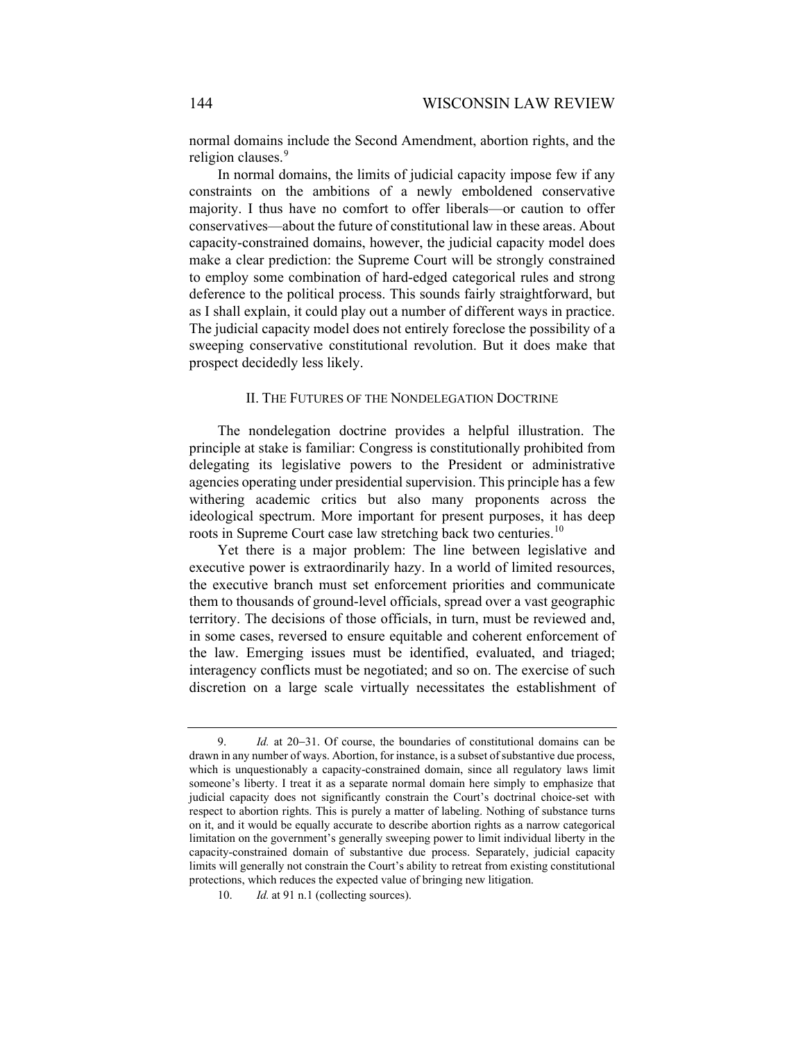normal domains include the Second Amendment, abortion rights, and the religion clauses.<sup>[9](#page-3-0)</sup>

In normal domains, the limits of judicial capacity impose few if any constraints on the ambitions of a newly emboldened conservative majority. I thus have no comfort to offer liberals—or caution to offer conservatives—about the future of constitutional law in these areas. About capacity-constrained domains, however, the judicial capacity model does make a clear prediction: the Supreme Court will be strongly constrained to employ some combination of hard-edged categorical rules and strong deference to the political process. This sounds fairly straightforward, but as I shall explain, it could play out a number of different ways in practice. The judicial capacity model does not entirely foreclose the possibility of a sweeping conservative constitutional revolution. But it does make that prospect decidedly less likely.

### II. THE FUTURES OF THE NONDELEGATION DOCTRINE

The nondelegation doctrine provides a helpful illustration. The principle at stake is familiar: Congress is constitutionally prohibited from delegating its legislative powers to the President or administrative agencies operating under presidential supervision. This principle has a few withering academic critics but also many proponents across the ideological spectrum. More important for present purposes, it has deep roots in Supreme Court case law stretching back two centuries.<sup>[10](#page-3-1)</sup>

Yet there is a major problem: The line between legislative and executive power is extraordinarily hazy. In a world of limited resources, the executive branch must set enforcement priorities and communicate them to thousands of ground-level officials, spread over a vast geographic territory. The decisions of those officials, in turn, must be reviewed and, in some cases, reversed to ensure equitable and coherent enforcement of the law. Emerging issues must be identified, evaluated, and triaged; interagency conflicts must be negotiated; and so on. The exercise of such discretion on a large scale virtually necessitates the establishment of

<span id="page-3-0"></span><sup>9.</sup> *Id.* at 20−31. Of course, the boundaries of constitutional domains can be drawn in any number of ways. Abortion, for instance, is a subset of substantive due process, which is unquestionably a capacity-constrained domain, since all regulatory laws limit someone's liberty. I treat it as a separate normal domain here simply to emphasize that judicial capacity does not significantly constrain the Court's doctrinal choice-set with respect to abortion rights. This is purely a matter of labeling. Nothing of substance turns on it, and it would be equally accurate to describe abortion rights as a narrow categorical limitation on the government's generally sweeping power to limit individual liberty in the capacity-constrained domain of substantive due process. Separately, judicial capacity limits will generally not constrain the Court's ability to retreat from existing constitutional protections, which reduces the expected value of bringing new litigation.

<span id="page-3-1"></span><sup>10.</sup> *Id.* at 91 n.1 (collecting sources).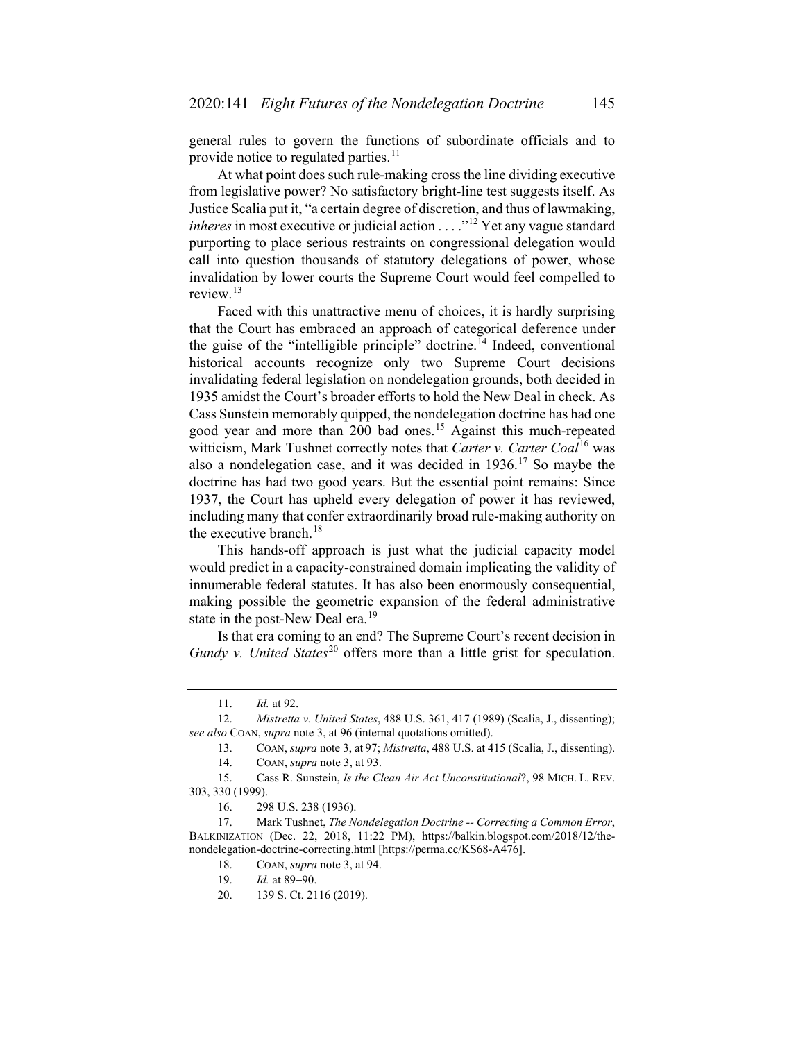general rules to govern the functions of subordinate officials and to provide notice to regulated parties.<sup>[11](#page-4-0)</sup>

At what point does such rule-making cross the line dividing executive from legislative power? No satisfactory bright-line test suggests itself. As Justice Scalia put it, "a certain degree of discretion, and thus of lawmaking, *inheres* in most executive or judicial action . . . .<sup>"[12](#page-4-1)</sup> Yet any vague standard purporting to place serious restraints on congressional delegation would call into question thousands of statutory delegations of power, whose invalidation by lower courts the Supreme Court would feel compelled to review.[13](#page-4-2)

Faced with this unattractive menu of choices, it is hardly surprising that the Court has embraced an approach of categorical deference under the guise of the "intelligible principle" doctrine.<sup>[14](#page-4-3)</sup> Indeed, conventional historical accounts recognize only two Supreme Court decisions invalidating federal legislation on nondelegation grounds, both decided in 1935 amidst the Court's broader efforts to hold the New Deal in check. As Cass Sunstein memorably quipped, the nondelegation doctrine has had one good year and more than 200 bad ones.<sup>[15](#page-4-4)</sup> Against this much-repeated witticism, Mark Tushnet correctly notes that *Carter v. Carter Coal*[16](#page-4-5) was also a nondelegation case, and it was decided in  $1936$ .<sup>[17](#page-4-6)</sup> So maybe the doctrine has had two good years. But the essential point remains: Since 1937, the Court has upheld every delegation of power it has reviewed, including many that confer extraordinarily broad rule-making authority on the executive branch. $^{18}$  $^{18}$  $^{18}$ 

This hands-off approach is just what the judicial capacity model would predict in a capacity-constrained domain implicating the validity of innumerable federal statutes. It has also been enormously consequential, making possible the geometric expansion of the federal administrative state in the post-New Deal era.<sup>[19](#page-4-8)</sup>

Is that era coming to an end? The Supreme Court's recent decision in *Gundy v. United States*<sup>[20](#page-4-9)</sup> offers more than a little grist for speculation.

<sup>11.</sup> *Id.* at 92.

<span id="page-4-2"></span><span id="page-4-1"></span><span id="page-4-0"></span><sup>12.</sup> *Mistretta v. United States*, 488 U.S. 361, 417 (1989) (Scalia, J., dissenting); *see also* COAN, *supra* note [3,](#page-1-3) at 96 (internal quotations omitted).

<sup>13.</sup> COAN, *supra* note [3,](#page-1-3) at 97; *Mistretta*, 488 U.S. at 415 (Scalia, J., dissenting).

<sup>14.</sup> COAN, *supra* not[e 3,](#page-1-3) at 93.

<span id="page-4-4"></span><span id="page-4-3"></span><sup>15.</sup> Cass R. Sunstein, *Is the Clean Air Act Unconstitutional*?, 98 MICH. L. REV. 303, 330 (1999).

<sup>16.</sup> 298 U.S. 238 (1936).

<span id="page-4-9"></span><span id="page-4-8"></span><span id="page-4-7"></span><span id="page-4-6"></span><span id="page-4-5"></span><sup>17.</sup> Mark Tushnet, *The Nondelegation Doctrine -- Correcting a Common Error*, BALKINIZATION (Dec. 22, 2018, 11:22 PM), https://balkin.blogspot.com/2018/12/thenondelegation-doctrine-correcting.html [https://perma.cc/KS68-A476].

<sup>18.</sup> COAN, *supra* not[e 3,](#page-1-3) at 94.

<sup>19.</sup> *Id.* at 89−90.

<sup>20.</sup> 139 S. Ct. 2116 (2019).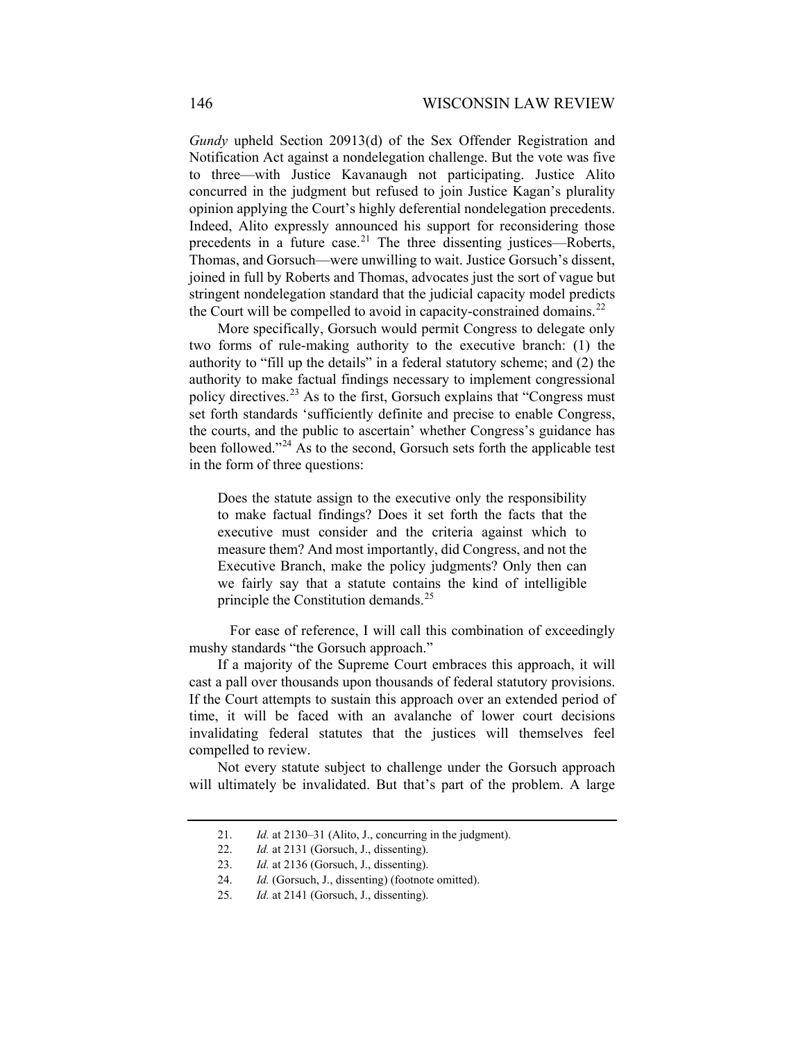*Gundy* upheld Section 20913(d) of the Sex Offender Registration and Notification Act against a nondelegation challenge. But the vote was five to three—with Justice Kavanaugh not participating. Justice Alito concurred in the judgment but refused to join Justice Kagan's plurality opinion applying the Court's highly deferential nondelegation precedents. Indeed, Alito expressly announced his support for reconsidering those precedents in a future case.<sup>[21](#page-5-0)</sup> The three dissenting justices—Roberts, Thomas, and Gorsuch—were unwilling to wait. Justice Gorsuch's dissent, joined in full by Roberts and Thomas, advocates just the sort of vague but stringent nondelegation standard that the judicial capacity model predicts the Court will be compelled to avoid in capacity-constrained domains.<sup>[22](#page-5-1)</sup>

More specifically, Gorsuch would permit Congress to delegate only two forms of rule-making authority to the executive branch: (1) the authority to "fill up the details" in a federal statutory scheme; and (2) the authority to make factual findings necessary to implement congressional policy directives.<sup>[23](#page-5-2)</sup> As to the first, Gorsuch explains that "Congress must set forth standards 'sufficiently definite and precise to enable Congress, the courts, and the public to ascertain' whether Congress's guidance has been followed."<sup>[24](#page-5-3)</sup> As to the second, Gorsuch sets forth the applicable test in the form of three questions:

Does the statute assign to the executive only the responsibility to make factual findings? Does it set forth the facts that the executive must consider and the criteria against which to measure them? And most importantly, did Congress, and not the Executive Branch, make the policy judgments? Only then can we fairly say that a statute contains the kind of intelligible principle the Constitution demands.<sup>[25](#page-5-4)</sup>

For ease of reference, I will call this combination of exceedingly mushy standards "the Gorsuch approach."

If a majority of the Supreme Court embraces this approach, it will cast a pall over thousands upon thousands of federal statutory provisions. If the Court attempts to sustain this approach over an extended period of time, it will be faced with an avalanche of lower court decisions invalidating federal statutes that the justices will themselves feel compelled to review.

<span id="page-5-2"></span><span id="page-5-1"></span><span id="page-5-0"></span>Not every statute subject to challenge under the Gorsuch approach will ultimately be invalidated. But that's part of the problem. A large

<sup>21.</sup> *Id.* at 2130–31 (Alito, J., concurring in the judgment).

<sup>22.</sup> *Id.* at 2131 (Gorsuch, J., dissenting).

<sup>23.</sup> *Id.* at 2136 (Gorsuch, J., dissenting).

<span id="page-5-3"></span><sup>24.</sup> *Id.* (Gorsuch, J., dissenting) (footnote omitted).

<span id="page-5-4"></span><sup>25.</sup> *Id.* at 2141 (Gorsuch, J., dissenting).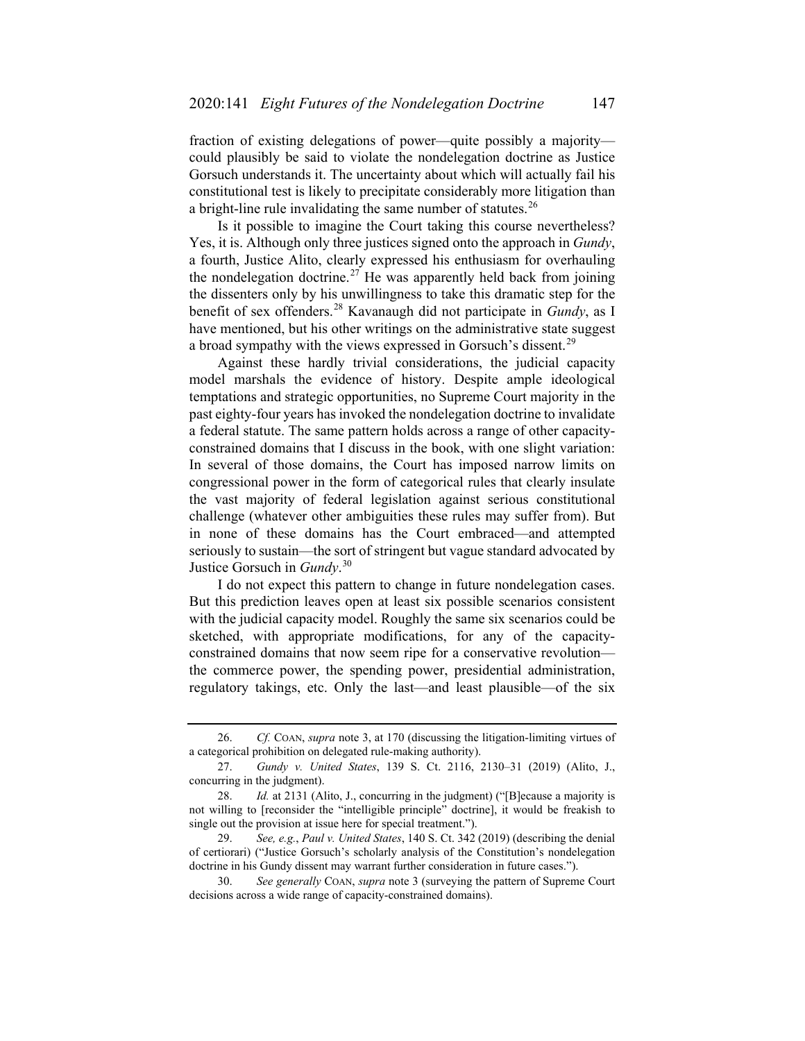fraction of existing delegations of power—quite possibly a majority could plausibly be said to violate the nondelegation doctrine as Justice Gorsuch understands it. The uncertainty about which will actually fail his constitutional test is likely to precipitate considerably more litigation than a bright-line rule invalidating the same number of statutes.  $26$ 

Is it possible to imagine the Court taking this course nevertheless? Yes, it is. Although only three justices signed onto the approach in *Gundy*, a fourth, Justice Alito, clearly expressed his enthusiasm for overhauling the nondelegation doctrine.<sup>[27](#page-6-1)</sup> He was apparently held back from joining the dissenters only by his unwillingness to take this dramatic step for the benefit of sex offenders.[28](#page-6-2) Kavanaugh did not participate in *Gundy*, as I have mentioned, but his other writings on the administrative state suggest a broad sympathy with the views expressed in Gorsuch's dissent.<sup>[29](#page-6-3)</sup>

Against these hardly trivial considerations, the judicial capacity model marshals the evidence of history. Despite ample ideological temptations and strategic opportunities, no Supreme Court majority in the past eighty-four years has invoked the nondelegation doctrine to invalidate a federal statute. The same pattern holds across a range of other capacityconstrained domains that I discuss in the book, with one slight variation: In several of those domains, the Court has imposed narrow limits on congressional power in the form of categorical rules that clearly insulate the vast majority of federal legislation against serious constitutional challenge (whatever other ambiguities these rules may suffer from). But in none of these domains has the Court embraced—and attempted seriously to sustain—the sort of stringent but vague standard advocated by Justice Gorsuch in *Gundy*. [30](#page-6-4)

I do not expect this pattern to change in future nondelegation cases. But this prediction leaves open at least six possible scenarios consistent with the judicial capacity model. Roughly the same six scenarios could be sketched, with appropriate modifications, for any of the capacityconstrained domains that now seem ripe for a conservative revolution the commerce power, the spending power, presidential administration, regulatory takings, etc. Only the last—and least plausible—of the six

<span id="page-6-0"></span><sup>26.</sup> *Cf.* COAN, *supra* not[e 3,](#page-1-3) at 170 (discussing the litigation-limiting virtues of a categorical prohibition on delegated rule-making authority).

<span id="page-6-1"></span><sup>27.</sup> *Gundy v. United States*, 139 S. Ct. 2116, 2130–31 (2019) (Alito, J., concurring in the judgment).

<span id="page-6-2"></span><sup>28.</sup> *Id.* at 2131 (Alito, J., concurring in the judgment) ("[B]ecause a majority is not willing to [reconsider the "intelligible principle" doctrine], it would be freakish to single out the provision at issue here for special treatment.").

<span id="page-6-3"></span><sup>29.</sup> *See, e.g.*, *Paul v. United States*, 140 S. Ct. 342 (2019) (describing the denial of certiorari) ("Justice Gorsuch's scholarly analysis of the Constitution's nondelegation doctrine in his Gundy dissent may warrant further consideration in future cases.").

<span id="page-6-4"></span><sup>30.</sup> *See generally* COAN, *supra* note [3](#page-1-3) (surveying the pattern of Supreme Court decisions across a wide range of capacity-constrained domains).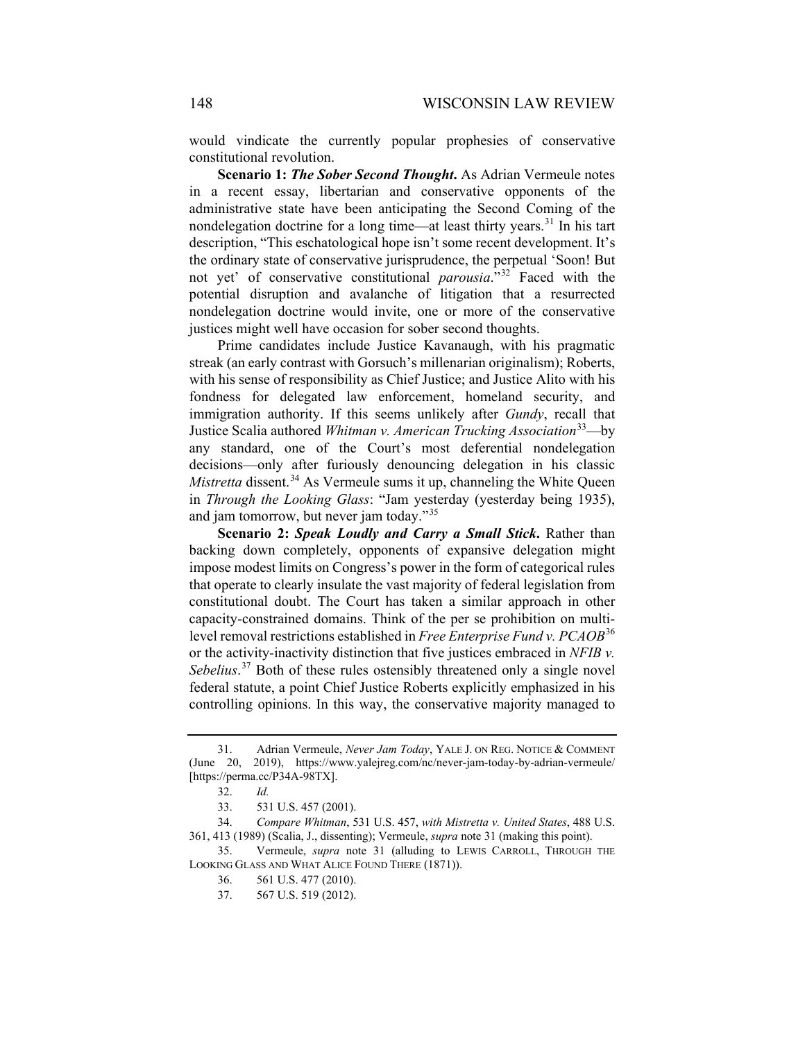would vindicate the currently popular prophesies of conservative constitutional revolution.

<span id="page-7-0"></span>**Scenario 1:** *The Sober Second Thought***.** As Adrian Vermeule notes in a recent essay, libertarian and conservative opponents of the administrative state have been anticipating the Second Coming of the nondelegation doctrine for a long time—at least thirty years.<sup>[31](#page-7-1)</sup> In his tart description, "This eschatological hope isn't some recent development. It's the ordinary state of conservative jurisprudence, the perpetual 'Soon! But not yet' of conservative constitutional *parousia*."[32](#page-7-2) Faced with the potential disruption and avalanche of litigation that a resurrected nondelegation doctrine would invite, one or more of the conservative justices might well have occasion for sober second thoughts.

Prime candidates include Justice Kavanaugh, with his pragmatic streak (an early contrast with Gorsuch's millenarian originalism); Roberts, with his sense of responsibility as Chief Justice; and Justice Alito with his fondness for delegated law enforcement, homeland security, and immigration authority. If this seems unlikely after *Gundy*, recall that Justice Scalia authored *Whitman v. American Trucking Association*[33](#page-7-3)—by any standard, one of the Court's most deferential nondelegation decisions—only after furiously denouncing delegation in his classic *Mistretta* dissent.<sup>[34](#page-7-4)</sup> As Vermeule sums it up, channeling the White Queen in *Through the Looking Glass*: "Jam yesterday (yesterday being 1935), and jam tomorrow, but never jam today."[35](#page-7-5)

**Scenario 2:** *Speak Loudly and Carry a Small Stick***.** Rather than backing down completely, opponents of expansive delegation might impose modest limits on Congress's power in the form of categorical rules that operate to clearly insulate the vast majority of federal legislation from constitutional doubt. The Court has taken a similar approach in other capacity-constrained domains. Think of the per se prohibition on multilevel removal restrictions established in *Free Enterprise Fund v. PCAOB*[36](#page-7-6) or the activity-inactivity distinction that five justices embraced in *NFIB v.*  Sebelius.<sup>[37](#page-7-7)</sup> Both of these rules ostensibly threatened only a single novel federal statute, a point Chief Justice Roberts explicitly emphasized in his controlling opinions. In this way, the conservative majority managed to

<span id="page-7-1"></span><sup>31.</sup> Adrian Vermeule, *Never Jam Today*, YALE J. ON REG. NOTICE & COMMENT (June 20, 2019), https://www.yalejreg.com/nc/never-jam-today-by-adrian-vermeule/ [https://perma.cc/P34A-98TX].

<sup>32.</sup> *Id.*

<sup>33.</sup> 531 U.S. 457 (2001).

<span id="page-7-4"></span><span id="page-7-3"></span><span id="page-7-2"></span><sup>34.</sup> *Compare Whitman*, 531 U.S. 457, *with Mistretta v. United States*, 488 U.S. 361, 413 (1989) (Scalia, J., dissenting); Vermeule, *supra* not[e 31](#page-7-0) (making this point).

<span id="page-7-7"></span><span id="page-7-6"></span><span id="page-7-5"></span><sup>35.</sup> Vermeule, *supra* note [31](#page-7-0) (alluding to LEWIS CARROLL, THROUGH THE LOOKING GLASS AND WHAT ALICE FOUND THERE (1871)).

<sup>36.</sup> 561 U.S. 477 (2010).

<sup>37.</sup> 567 U.S. 519 (2012).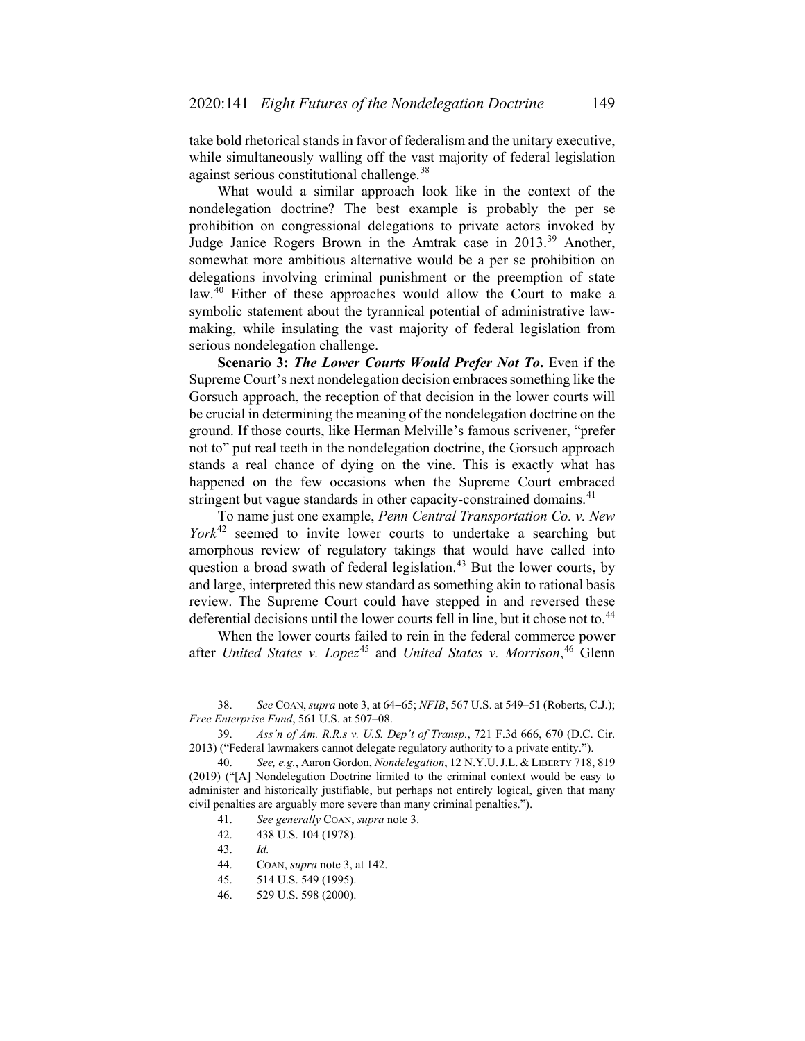take bold rhetorical stands in favor of federalism and the unitary executive, while simultaneously walling off the vast majority of federal legislation against serious constitutional challenge.<sup>[38](#page-8-0)</sup>

What would a similar approach look like in the context of the nondelegation doctrine? The best example is probably the per se prohibition on congressional delegations to private actors invoked by Judge Janice Rogers Brown in the Amtrak case in 2013.<sup>[39](#page-8-1)</sup> Another, somewhat more ambitious alternative would be a per se prohibition on delegations involving criminal punishment or the preemption of state law.<sup>[40](#page-8-2)</sup> Either of these approaches would allow the Court to make a symbolic statement about the tyrannical potential of administrative lawmaking, while insulating the vast majority of federal legislation from serious nondelegation challenge.

**Scenario 3: The Lower Courts Would Prefer Not To. Even if the** Supreme Court's next nondelegation decision embraces something like the Gorsuch approach, the reception of that decision in the lower courts will be crucial in determining the meaning of the nondelegation doctrine on the ground. If those courts, like Herman Melville's famous scrivener, "prefer not to" put real teeth in the nondelegation doctrine, the Gorsuch approach stands a real chance of dying on the vine. This is exactly what has happened on the few occasions when the Supreme Court embraced stringent but vague standards in other capacity-constrained domains.<sup>[41](#page-8-3)</sup>

To name just one example, *Penn Central Transportation Co. v. New York*[42](#page-8-4) seemed to invite lower courts to undertake a searching but amorphous review of regulatory takings that would have called into question a broad swath of federal legislation.<sup>[43](#page-8-5)</sup> But the lower courts, by and large, interpreted this new standard as something akin to rational basis review. The Supreme Court could have stepped in and reversed these deferential decisions until the lower courts fell in line, but it chose not to.<sup>[44](#page-8-6)</sup>

When the lower courts failed to rein in the federal commerce power after *United States v. Lopez*<sup>[45](#page-8-7)</sup> and *United States v. Morrison*, <sup>[46](#page-8-8)</sup> Glenn

<span id="page-8-0"></span><sup>38.</sup> *See* COAN, *supra* not[e 3,](#page-1-3) at 64−65; *NFIB*, 567 U.S. at 549–51 (Roberts, C.J.); *Free Enterprise Fund*, 561 U.S. at 507–08.

<span id="page-8-1"></span><sup>39.</sup> *Ass'n of Am. R.R.s v. U.S. Dep't of Transp.*, 721 F.3d 666, 670 (D.C. Cir. 2013) ("Federal lawmakers cannot delegate regulatory authority to a private entity.").

<span id="page-8-6"></span><span id="page-8-5"></span><span id="page-8-4"></span><span id="page-8-3"></span><span id="page-8-2"></span><sup>40.</sup> *See, e.g.*, Aaron Gordon, *Nondelegation*, 12 N.Y.U.J.L. & LIBERTY 718, 819 (2019) ("[A] Nondelegation Doctrine limited to the criminal context would be easy to administer and historically justifiable, but perhaps not entirely logical, given that many civil penalties are arguably more severe than many criminal penalties.").

<sup>41.</sup> *See generally* COAN, *supra* not[e 3.](#page-1-3)

<sup>42.</sup> 438 U.S. 104 (1978).

<sup>43.</sup> *Id.*

<span id="page-8-7"></span><sup>44.</sup> COAN, *supra* not[e 3,](#page-1-3) at 142.

<sup>45.</sup> 514 U.S. 549 (1995).

<span id="page-8-8"></span><sup>46.</sup> 529 U.S. 598 (2000).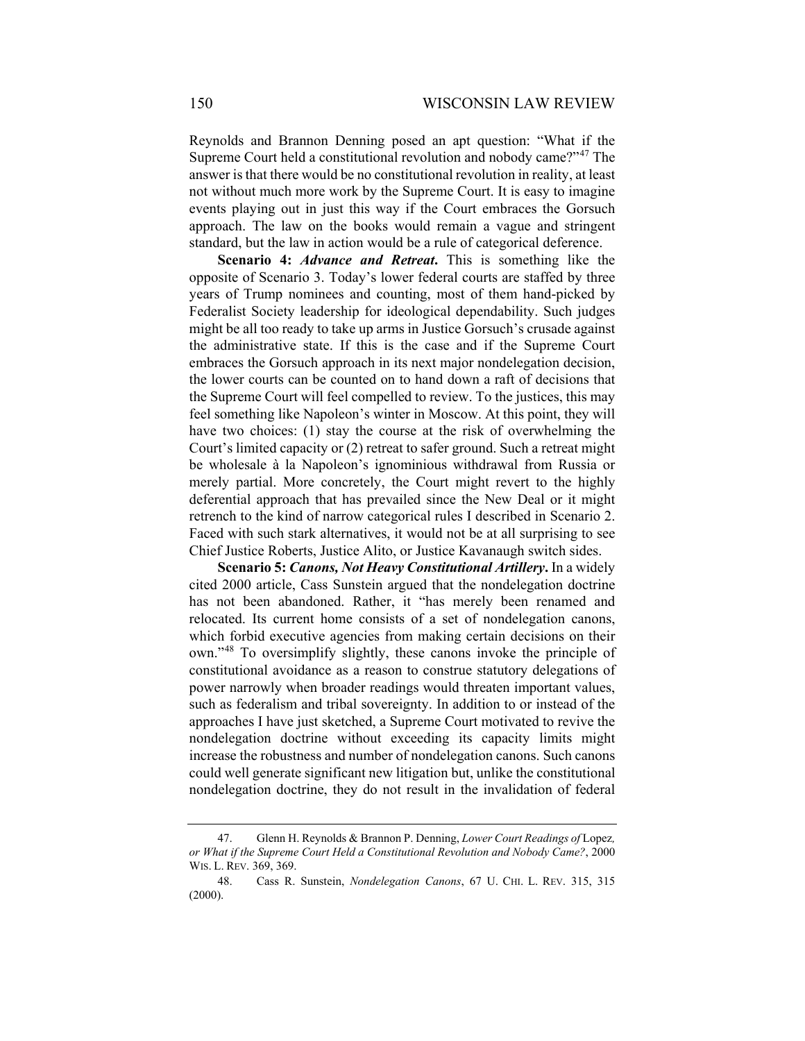Reynolds and Brannon Denning posed an apt question: "What if the Supreme Court held a constitutional revolution and nobody came?"<sup>[47](#page-9-0)</sup> The answer is that there would be no constitutional revolution in reality, at least not without much more work by the Supreme Court. It is easy to imagine events playing out in just this way if the Court embraces the Gorsuch approach. The law on the books would remain a vague and stringent standard, but the law in action would be a rule of categorical deference.

**Scenario 4:** *Advance and Retreat***.** This is something like the opposite of Scenario 3. Today's lower federal courts are staffed by three years of Trump nominees and counting, most of them hand-picked by Federalist Society leadership for ideological dependability. Such judges might be all too ready to take up arms in Justice Gorsuch's crusade against the administrative state. If this is the case and if the Supreme Court embraces the Gorsuch approach in its next major nondelegation decision, the lower courts can be counted on to hand down a raft of decisions that the Supreme Court will feel compelled to review. To the justices, this may feel something like Napoleon's winter in Moscow. At this point, they will have two choices: (1) stay the course at the risk of overwhelming the Court's limited capacity or (2) retreat to safer ground. Such a retreat might be wholesale à la Napoleon's ignominious withdrawal from Russia or merely partial. More concretely, the Court might revert to the highly deferential approach that has prevailed since the New Deal or it might retrench to the kind of narrow categorical rules I described in Scenario 2. Faced with such stark alternatives, it would not be at all surprising to see Chief Justice Roberts, Justice Alito, or Justice Kavanaugh switch sides.

**Scenario 5:** *Canons, Not Heavy Constitutional Artillery***.** In a widely cited 2000 article, Cass Sunstein argued that the nondelegation doctrine has not been abandoned. Rather, it "has merely been renamed and relocated. Its current home consists of a set of nondelegation canons, which forbid executive agencies from making certain decisions on their own."[48](#page-9-1) To oversimplify slightly, these canons invoke the principle of constitutional avoidance as a reason to construe statutory delegations of power narrowly when broader readings would threaten important values, such as federalism and tribal sovereignty. In addition to or instead of the approaches I have just sketched, a Supreme Court motivated to revive the nondelegation doctrine without exceeding its capacity limits might increase the robustness and number of nondelegation canons. Such canons could well generate significant new litigation but, unlike the constitutional nondelegation doctrine, they do not result in the invalidation of federal

<span id="page-9-0"></span><sup>47.</sup> Glenn H. Reynolds & Brannon P. Denning, *Lower Court Readings of* Lopez*, or What if the Supreme Court Held a Constitutional Revolution and Nobody Came?*, 2000 WIS. L. REV. 369, 369.

<span id="page-9-1"></span><sup>48.</sup> Cass R. Sunstein, *Nondelegation Canons*, 67 U. CHI. L. REV. 315, 315 (2000).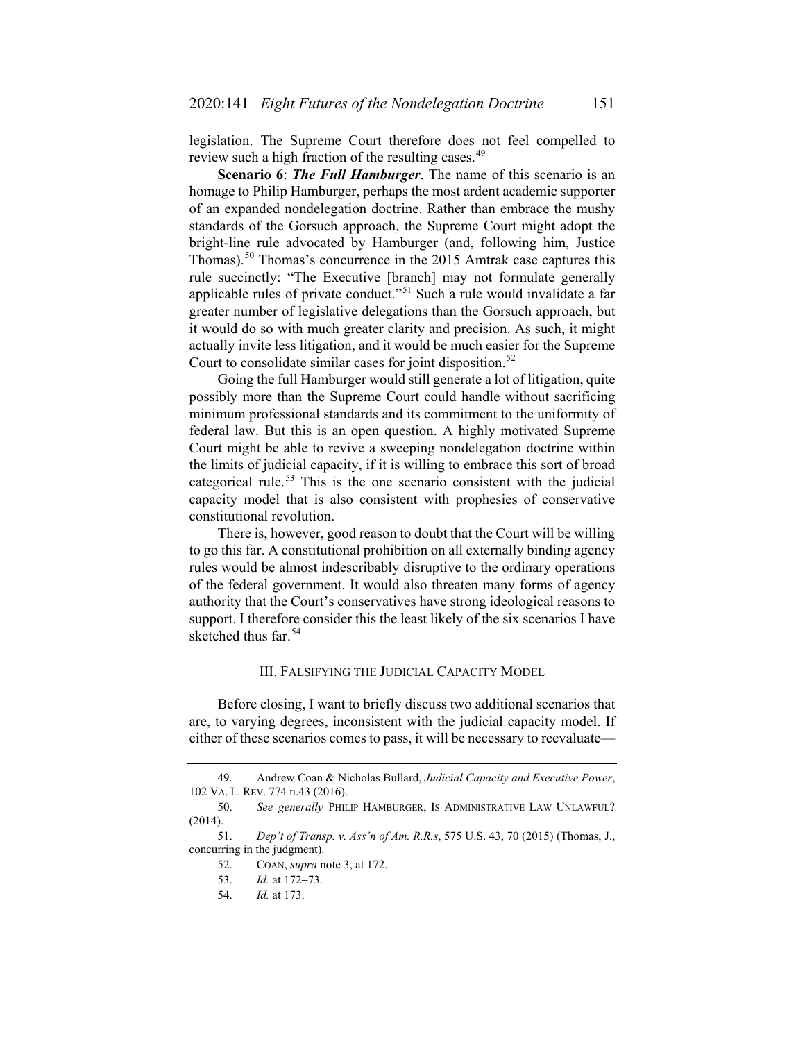legislation. The Supreme Court therefore does not feel compelled to review such a high fraction of the resulting cases.<sup>[49](#page-10-0)</sup>

**Scenario 6**: *The Full Hamburger*. The name of this scenario is an homage to Philip Hamburger, perhaps the most ardent academic supporter of an expanded nondelegation doctrine. Rather than embrace the mushy standards of the Gorsuch approach, the Supreme Court might adopt the bright-line rule advocated by Hamburger (and, following him, Justice Thomas).[50](#page-10-1) Thomas's concurrence in the 2015 Amtrak case captures this rule succinctly: "The Executive [branch] may not formulate generally applicable rules of private conduct."<sup>[51](#page-10-2)</sup> Such a rule would invalidate a far greater number of legislative delegations than the Gorsuch approach, but it would do so with much greater clarity and precision. As such, it might actually invite less litigation, and it would be much easier for the Supreme Court to consolidate similar cases for joint disposition.<sup>[52](#page-10-3)</sup>

Going the full Hamburger would still generate a lot of litigation, quite possibly more than the Supreme Court could handle without sacrificing minimum professional standards and its commitment to the uniformity of federal law. But this is an open question. A highly motivated Supreme Court might be able to revive a sweeping nondelegation doctrine within the limits of judicial capacity, if it is willing to embrace this sort of broad categorical rule.<sup>[53](#page-10-4)</sup> This is the one scenario consistent with the judicial capacity model that is also consistent with prophesies of conservative constitutional revolution.

There is, however, good reason to doubt that the Court will be willing to go this far. A constitutional prohibition on all externally binding agency rules would be almost indescribably disruptive to the ordinary operations of the federal government. It would also threaten many forms of agency authority that the Court's conservatives have strong ideological reasons to support. I therefore consider this the least likely of the six scenarios I have sketched thus far.<sup>[54](#page-10-5)</sup>

## III. FALSIFYING THE JUDICIAL CAPACITY MODEL

Before closing, I want to briefly discuss two additional scenarios that are, to varying degrees, inconsistent with the judicial capacity model. If either of these scenarios comes to pass, it will be necessary to reevaluate—

<span id="page-10-0"></span><sup>49.</sup> Andrew Coan & Nicholas Bullard, *Judicial Capacity and Executive Power*, 102 VA. L. REV. 774 n.43 (2016).

<span id="page-10-1"></span><sup>50.</sup> *See generally* PHILIP HAMBURGER, IS ADMINISTRATIVE LAW UNLAWFUL? (2014).

<span id="page-10-5"></span><span id="page-10-4"></span><span id="page-10-3"></span><span id="page-10-2"></span><sup>51.</sup> *Dep't of Transp. v. Ass'n of Am. R.R.s*, 575 U.S. 43, 70 (2015) (Thomas, J., concurring in the judgment).

<sup>52.</sup> COAN, *supra* not[e 3,](#page-1-3) at 172.

<sup>53.</sup> *Id.* at 172−73.

<sup>54.</sup> *Id.* at 173.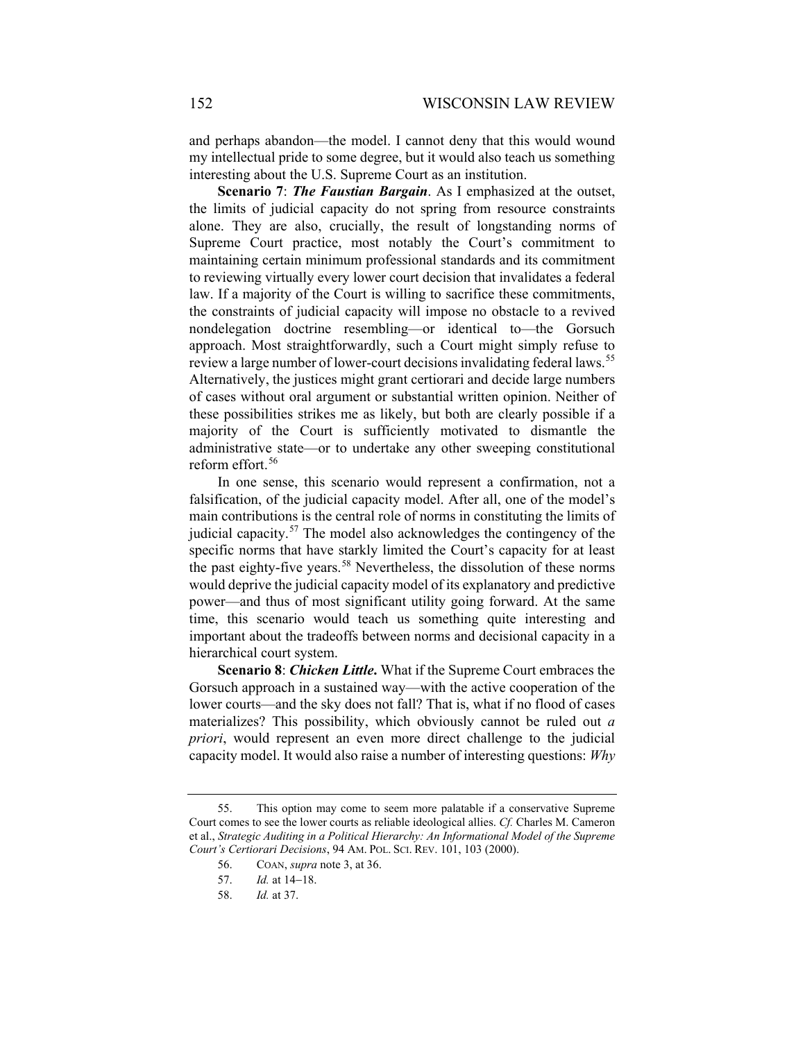and perhaps abandon—the model. I cannot deny that this would wound my intellectual pride to some degree, but it would also teach us something interesting about the U.S. Supreme Court as an institution.

**Scenario 7**: *The Faustian Bargain*. As I emphasized at the outset, the limits of judicial capacity do not spring from resource constraints alone. They are also, crucially, the result of longstanding norms of Supreme Court practice, most notably the Court's commitment to maintaining certain minimum professional standards and its commitment to reviewing virtually every lower court decision that invalidates a federal law. If a majority of the Court is willing to sacrifice these commitments, the constraints of judicial capacity will impose no obstacle to a revived nondelegation doctrine resembling—or identical to—the Gorsuch approach. Most straightforwardly, such a Court might simply refuse to review a large number of lower-court decisions invalidating federal laws.<sup>[55](#page-11-0)</sup> Alternatively, the justices might grant certiorari and decide large numbers of cases without oral argument or substantial written opinion. Neither of these possibilities strikes me as likely, but both are clearly possible if a majority of the Court is sufficiently motivated to dismantle the administrative state—or to undertake any other sweeping constitutional reform effort. $56$ 

In one sense, this scenario would represent a confirmation, not a falsification, of the judicial capacity model. After all, one of the model's main contributions is the central role of norms in constituting the limits of judicial capacity.<sup>[57](#page-11-2)</sup> The model also acknowledges the contingency of the specific norms that have starkly limited the Court's capacity for at least the past eighty-five years.<sup>[58](#page-11-3)</sup> Nevertheless, the dissolution of these norms would deprive the judicial capacity model of its explanatory and predictive power—and thus of most significant utility going forward. At the same time, this scenario would teach us something quite interesting and important about the tradeoffs between norms and decisional capacity in a hierarchical court system.

**Scenario 8**: *Chicken Little***.** What if the Supreme Court embraces the Gorsuch approach in a sustained way—with the active cooperation of the lower courts—and the sky does not fall? That is, what if no flood of cases materializes? This possibility, which obviously cannot be ruled out *a priori*, would represent an even more direct challenge to the judicial capacity model. It would also raise a number of interesting questions: *Why*

<span id="page-11-3"></span><span id="page-11-2"></span><span id="page-11-1"></span><span id="page-11-0"></span><sup>55.</sup> This option may come to seem more palatable if a conservative Supreme Court comes to see the lower courts as reliable ideological allies. *Cf.* Charles M. Cameron et al., *Strategic Auditing in a Political Hierarchy: An Informational Model of the Supreme Court's Certiorari Decisions*, 94 AM. POL. SCI. REV. 101, 103 (2000).

<sup>56.</sup> COAN, *supra* not[e 3,](#page-1-3) at 36.

<sup>57.</sup> *Id.* at 14−18.

<sup>58.</sup> *Id.* at 37.